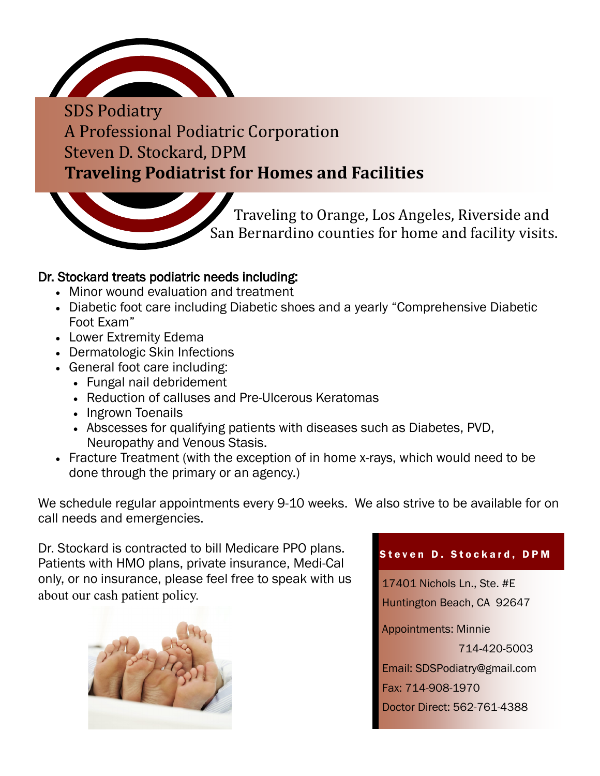

SDS Podiatry A Professional Podiatric Corporation Steven D. Stockard, DPM **Traveling Podiatrist for Homes and Facilities**



## Dr. Stockard treats podiatric needs including:

- Minor wound evaluation and treatment
- Diabetic foot care including Diabetic shoes and a yearly "Comprehensive Diabetic Foot Exam"
- Lower Extremity Edema
- Dermatologic Skin Infections
- General foot care including:
	- Fungal nail debridement
	- Reduction of calluses and Pre-Ulcerous Keratomas
	- Ingrown Toenails
	- Abscesses for qualifying patients with diseases such as Diabetes, PVD, Neuropathy and Venous Stasis.
- Fracture Treatment (with the exception of in home x-rays, which would need to be done through the primary or an agency.)

We schedule regular appointments every 9-10 weeks. We also strive to be available for on call needs and emergencies.

Dr. Stockard is contracted to bill Medicare PPO plans. Patients with HMO plans, private insurance, Medi-Cal only, or no insurance, please feel free to speak with us about our cash patient policy.



## Steven D. Stockard, DPM

17401 Nichols Ln., Ste. #E Huntington Beach, CA 92647 Appointments: Minnie 714-420-5003 Email: SDSPodiatry@gmail.com Fax: 714-908-1970 Doctor Direct: 562-761-4388